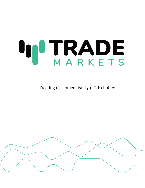# **IN TRADE**

Treating Customers Fairly (TCF) Policy

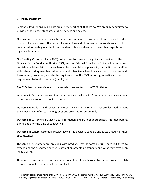## 1. **Policy Statement**

Semantic (Pty) Ltd ensures clients are at very heart of all that we do. We are fully committed to providing the highest standards of client service and advice.

Our customers are our most valuable asset, and our aim is to ensure we deliver a user-friendly, robust, reliable and cost-effective legal service. As a part of our overall approach, we are fully committed to treating our clients fairly and as such we endeavour to meet their expectations of high quality service.

Our Treating Customers Fairly (TCF) policy is centred around the guidance provided by the Financial Sector Conduct Authority (FSCA) and our External Compliance Officers, to ensure we consistently deliver fair outcomes to our clients and take responsibility for the firm and staff (at all levels) providing an enhanced service quality to clients, based on a culture of openness and transparency. As a firm, we take the requirements of the FSCA seriously, in particular, the requirement to treat customers (clients) fairly.

The FSCA has outlined six key outcomes, which are central to the TCF initiative:

**Outcome 1**: Customers are confident that they are dealing with firms where the fair treatment of customers is central to the firm culture.

**Outcome 2**: Products and services marketed and sold in the retail market are designed to meet the needs of identified customer groups and are targeted accordingly.

**Outcome 3**: Customers are given clear information and are kept appropriately informed before, during and after the time of contracting.

**Outcome 4:** Where customers receive advice, the advice is suitable and takes account of their circumstances.

**Outcome 5**: Customers are provided with products that perform as firms have led them to expect, and the associated service is both of an acceptable standard and what they have been led to expect.

**Outcome 6**: Customers do not face unreasonable post-sale barriers to change product, switch provider, submit a claim or make a complaint.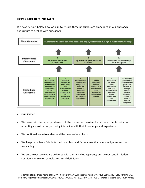## Figure 1 **Regulatory Framework**

We have set out below how we aim to ensure these principles are embedded in our approach and culture to dealing with our clients



### 2. **Our Service**

- We ascertain the appropriateness of the requested service for all new clients prior to accepting an instruction, ensuring it is in line with their knowledge and experience
- We continually aim to understand the needs of our clients
- We keep our clients fully informed in a clear and fair manner that is unambiguous and not misleading
- We ensure our services are delivered with clarity and transparency and do not contain hidden conditions or rely on complex technical definitions